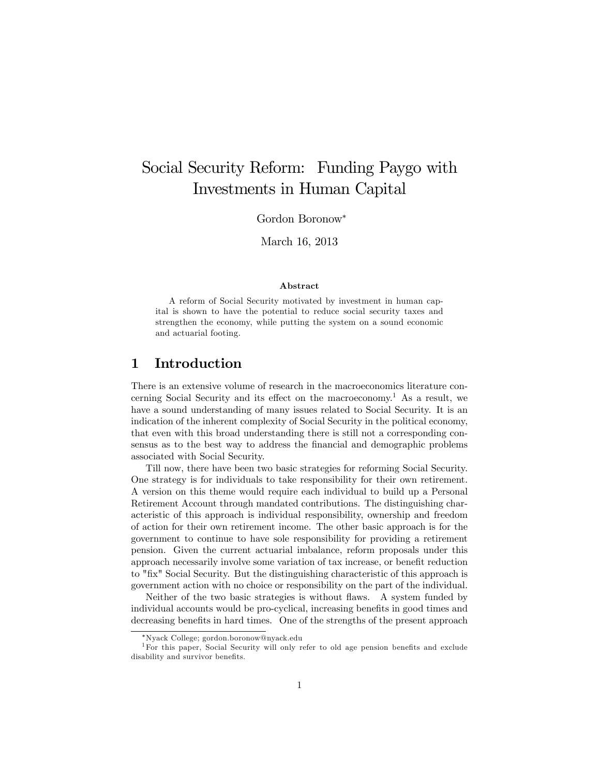# Social Security Reform: Funding Paygo with Investments in Human Capital

Gordon Boronow

March 16, 2013

#### Abstract

A reform of Social Security motivated by investment in human capital is shown to have the potential to reduce social security taxes and strengthen the economy, while putting the system on a sound economic and actuarial footing.

# 1 Introduction

There is an extensive volume of research in the macroeconomics literature concerning Social Security and its effect on the macroeconomy.<sup>1</sup> As a result, we have a sound understanding of many issues related to Social Security. It is an indication of the inherent complexity of Social Security in the political economy, that even with this broad understanding there is still not a corresponding consensus as to the best way to address the financial and demographic problems associated with Social Security.

Till now, there have been two basic strategies for reforming Social Security. One strategy is for individuals to take responsibility for their own retirement. A version on this theme would require each individual to build up a Personal Retirement Account through mandated contributions. The distinguishing characteristic of this approach is individual responsibility, ownership and freedom of action for their own retirement income. The other basic approach is for the government to continue to have sole responsibility for providing a retirement pension. Given the current actuarial imbalance, reform proposals under this approach necessarily involve some variation of tax increase, or benefit reduction to "Öx" Social Security. But the distinguishing characteristic of this approach is government action with no choice or responsibility on the part of the individual.

Neither of the two basic strategies is without flaws. A system funded by individual accounts would be pro-cyclical, increasing benefits in good times and decreasing benefits in hard times. One of the strengths of the present approach

Nyack College; gordon.boronow@nyack.edu

<sup>&</sup>lt;sup>1</sup>For this paper, Social Security will only refer to old age pension benefits and exclude disability and survivor benefits.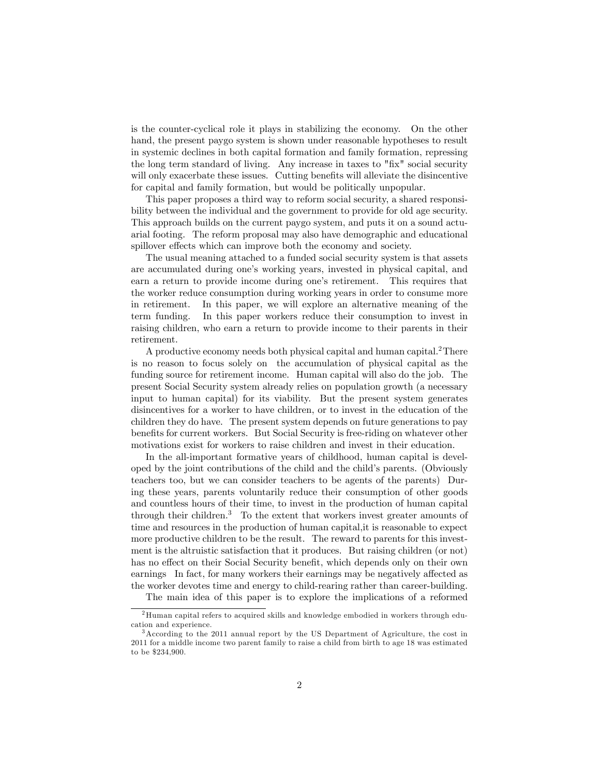is the counter-cyclical role it plays in stabilizing the economy. On the other hand, the present paygo system is shown under reasonable hypotheses to result in systemic declines in both capital formation and family formation, repressing the long term standard of living. Any increase in taxes to "fix" social security will only exacerbate these issues. Cutting benefits will alleviate the disincentive for capital and family formation, but would be politically unpopular.

This paper proposes a third way to reform social security, a shared responsibility between the individual and the government to provide for old age security. This approach builds on the current paygo system, and puts it on a sound actuarial footing. The reform proposal may also have demographic and educational spillover effects which can improve both the economy and society.

The usual meaning attached to a funded social security system is that assets are accumulated during one's working years, invested in physical capital, and earn a return to provide income during one's retirement. This requires that the worker reduce consumption during working years in order to consume more in retirement. In this paper, we will explore an alternative meaning of the term funding. In this paper workers reduce their consumption to invest in raising children, who earn a return to provide income to their parents in their retirement.

A productive economy needs both physical capital and human capital.<sup>2</sup>There is no reason to focus solely on the accumulation of physical capital as the funding source for retirement income. Human capital will also do the job. The present Social Security system already relies on population growth (a necessary input to human capital) for its viability. But the present system generates disincentives for a worker to have children, or to invest in the education of the children they do have. The present system depends on future generations to pay benefits for current workers. But Social Security is free-riding on whatever other motivations exist for workers to raise children and invest in their education.

In the all-important formative years of childhood, human capital is developed by the joint contributions of the child and the child's parents. (Obviously teachers too, but we can consider teachers to be agents of the parents) During these years, parents voluntarily reduce their consumption of other goods and countless hours of their time, to invest in the production of human capital through their children.<sup>3</sup> To the extent that workers invest greater amounts of time and resources in the production of human capital,it is reasonable to expect more productive children to be the result. The reward to parents for this investment is the altruistic satisfaction that it produces. But raising children (or not) has no effect on their Social Security benefit, which depends only on their own earnings In fact, for many workers their earnings may be negatively affected as the worker devotes time and energy to child-rearing rather than career-building.

The main idea of this paper is to explore the implications of a reformed

 $2$ Human capital refers to acquired skills and knowledge embodied in workers through education and experience.

<sup>3</sup>According to the 2011 annual report by the US Department of Agriculture, the cost in 2011 for a middle income two parent family to raise a child from birth to age 18 was estimated to be \$234,900.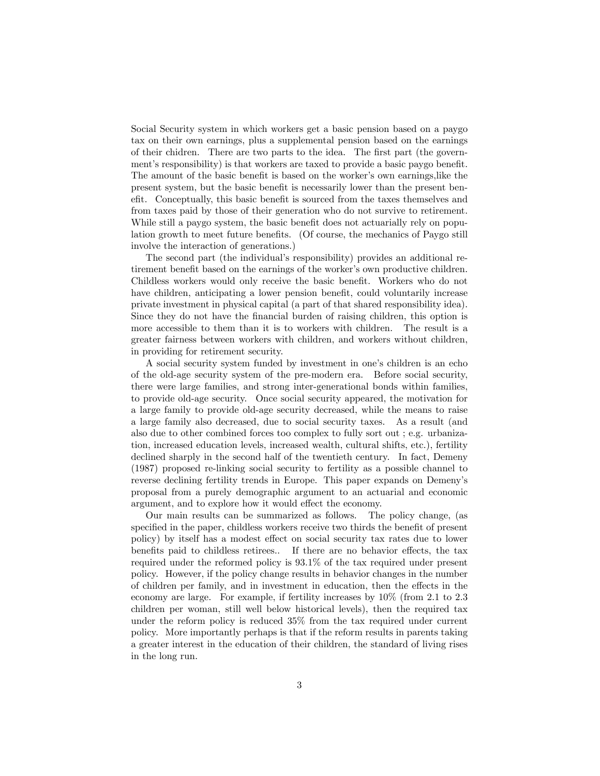Social Security system in which workers get a basic pension based on a paygo tax on their own earnings, plus a supplemental pension based on the earnings of their chidren. There are two parts to the idea. The first part (the government's responsibility) is that workers are taxed to provide a basic paygo benefit. The amount of the basic benefit is based on the worker's own earnings, like the present system, but the basic benefit is necessarily lower than the present benefit. Conceptually, this basic benefit is sourced from the taxes themselves and from taxes paid by those of their generation who do not survive to retirement. While still a paygo system, the basic benefit does not actuarially rely on population growth to meet future benefits. (Of course, the mechanics of Paygo still involve the interaction of generations.)

The second part (the individual's responsibility) provides an additional retirement benefit based on the earnings of the worker's own productive children. Childless workers would only receive the basic benefit. Workers who do not have children, anticipating a lower pension benefit, could voluntarily increase private investment in physical capital (a part of that shared responsibility idea). Since they do not have the financial burden of raising children, this option is more accessible to them than it is to workers with children. The result is a greater fairness between workers with children, and workers without children, in providing for retirement security.

A social security system funded by investment in one's children is an echo of the old-age security system of the pre-modern era. Before social security, there were large families, and strong inter-generational bonds within families, to provide old-age security. Once social security appeared, the motivation for a large family to provide old-age security decreased, while the means to raise a large family also decreased, due to social security taxes. As a result (and also due to other combined forces too complex to fully sort out ; e.g. urbanization, increased education levels, increased wealth, cultural shifts, etc.), fertility declined sharply in the second half of the twentieth century. In fact, Demeny (1987) proposed re-linking social security to fertility as a possible channel to reverse declining fertility trends in Europe. This paper expands on Demenyís proposal from a purely demographic argument to an actuarial and economic argument, and to explore how it would effect the economy.

Our main results can be summarized as follows. The policy change, (as specified in the paper, childless workers receive two thirds the benefit of present policy) by itself has a modest effect on social security tax rates due to lower benefits paid to childless retirees.. If there are no behavior effects, the tax required under the reformed policy is 93:1% of the tax required under present policy. However, if the policy change results in behavior changes in the number of children per family, and in investment in education, then the effects in the economy are large. For example, if fertility increases by 10% (from 2:1 to 2:3 children per woman, still well below historical levels), then the required tax under the reform policy is reduced 35% from the tax required under current policy. More importantly perhaps is that if the reform results in parents taking a greater interest in the education of their children, the standard of living rises in the long run.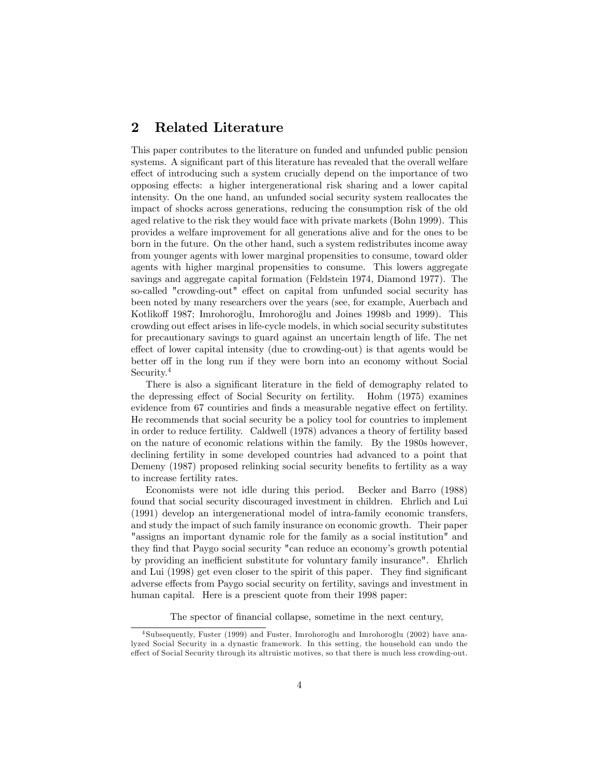# 2 Related Literature

This paper contributes to the literature on funded and unfunded public pension systems. A significant part of this literature has revealed that the overall welfare effect of introducing such a system crucially depend on the importance of two opposing effects: a higher intergenerational risk sharing and a lower capital intensity. On the one hand, an unfunded social security system reallocates the impact of shocks across generations, reducing the consumption risk of the old aged relative to the risk they would face with private markets (Bohn 1999). This provides a welfare improvement for all generations alive and for the ones to be born in the future. On the other hand, such a system redistributes income away from younger agents with lower marginal propensities to consume, toward older agents with higher marginal propensities to consume. This lowers aggregate savings and aggregate capital formation (Feldstein 1974, Diamond 1977). The so-called "crowding-out" effect on capital from unfunded social security has been noted by many researchers over the years (see, for example, Auerbach and Kotlikoff 1987; Imrohoroğlu, Imrohoroğlu and Joines 1998b and 1999). This crowding out effect arises in life-cycle models, in which social security substitutes for precautionary savings to guard against an uncertain length of life. The net effect of lower capital intensity (due to crowding-out) is that agents would be better off in the long run if they were born into an economy without Social Security.<sup>4</sup>

There is also a significant literature in the field of demography related to the depressing effect of Social Security on fertility. Hohm (1975) examines evidence from 67 countiries and finds a measurable negative effect on fertility. He recommends that social security be a policy tool for countries to implement in order to reduce fertility. Caldwell (1978) advances a theory of fertility based on the nature of economic relations within the family. By the 1980s however, declining fertility in some developed countries had advanced to a point that Demeny (1987) proposed relinking social security benefits to fertility as a way to increase fertility rates.

Economists were not idle during this period. Becker and Barro (1988) found that social security discouraged investment in children. Ehrlich and Lui (1991) develop an intergenerational model of intra-family economic transfers, and study the impact of such family insurance on economic growth. Their paper "assigns an important dynamic role for the family as a social institution" and they find that Paygo social security "can reduce an economy's growth potential by providing an inefficient substitute for voluntary family insurance". Ehrlich and Lui (1998) get even closer to the spirit of this paper. They find significant adverse effects from Paygo social security on fertility, savings and investment in human capital. Here is a prescient quote from their 1998 paper:

The spector of financial collapse, sometime in the next century,

<sup>&</sup>lt;sup>4</sup> Subsequently, Fuster (1999) and Fuster, Imrohoroğlu and Imrohoroğlu (2002) have analyzed Social Security in a dynastic framework. In this setting, the household can undo the effect of Social Security through its altruistic motives, so that there is much less crowding-out.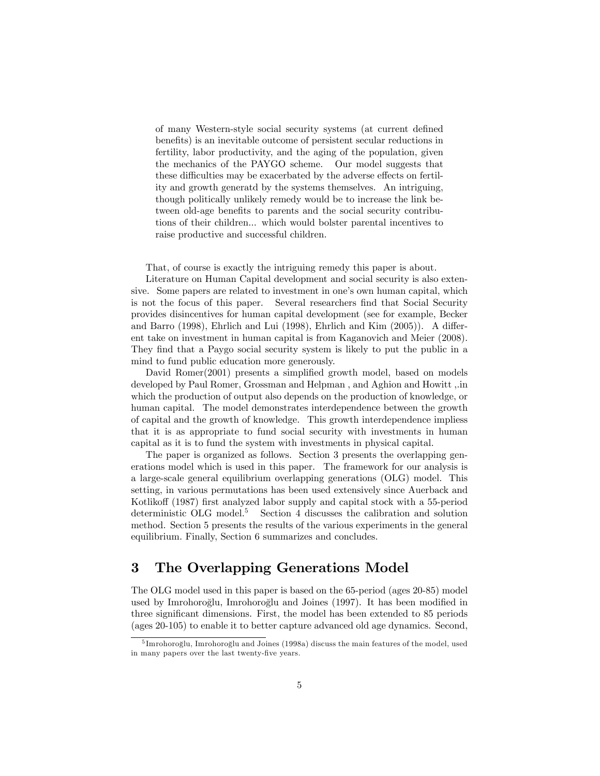of many Western-style social security systems (at current defined benefits) is an inevitable outcome of persistent secular reductions in fertility, labor productivity, and the aging of the population, given the mechanics of the PAYGO scheme. Our model suggests that these difficulties may be exacerbated by the adverse effects on fertility and growth generatd by the systems themselves. An intriguing, though politically unlikely remedy would be to increase the link between old-age benefits to parents and the social security contributions of their children... which would bolster parental incentives to raise productive and successful children.

That, of course is exactly the intriguing remedy this paper is about.

Literature on Human Capital development and social security is also extensive. Some papers are related to investment in one's own human capital, which is not the focus of this paper. Several researchers find that Social Security provides disincentives for human capital development (see for example, Becker and Barro  $(1998)$ , Ehrlich and Lui  $(1998)$ , Ehrlich and Kim  $(2005)$ ). A different take on investment in human capital is from Kaganovich and Meier (2008). They find that a Paygo social security system is likely to put the public in a mind to fund public education more generously.

David Romer(2001) presents a simplified growth model, based on models developed by Paul Romer, Grossman and Helpman , and Aghion and Howitt ,.in which the production of output also depends on the production of knowledge, or human capital. The model demonstrates interdependence between the growth of capital and the growth of knowledge. This growth interdependence impliess that it is as appropriate to fund social security with investments in human capital as it is to fund the system with investments in physical capital.

The paper is organized as follows. Section 3 presents the overlapping generations model which is used in this paper. The framework for our analysis is a large-scale general equilibrium overlapping generations (OLG) model. This setting, in various permutations has been used extensively since Auerback and Kotlikoff (1987) first analyzed labor supply and capital stock with a 55-period deterministic OLG model.<sup>5</sup> Section 4 discusses the calibration and solution method. Section 5 presents the results of the various experiments in the general equilibrium. Finally, Section 6 summarizes and concludes.

# 3 The Overlapping Generations Model

The OLG model used in this paper is based on the 65-period (ages 20-85) model used by Imrohoroğlu, Imrohoroğlu and Joines (1997). It has been modified in three significant dimensions. First, the model has been extended to 85 periods (ages 20-105) to enable it to better capture advanced old age dynamics. Second,

 $^5$ Imrohoroğlu, Imrohoroğlu and Joines (1998a) discuss the main features of the model, used in many papers over the last twenty-five years.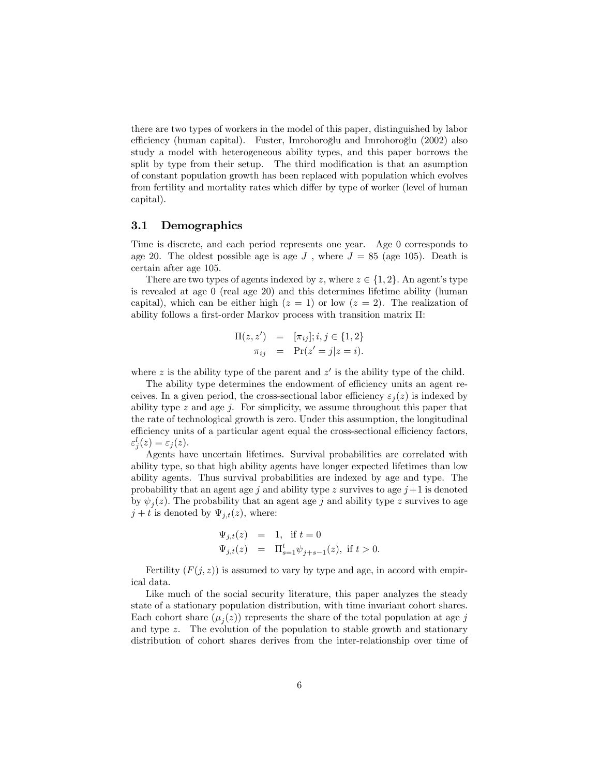there are two types of workers in the model of this paper, distinguished by labor efficiency (human capital). Fuster, Imrohoroğlu and Imrohoroğlu (2002) also study a model with heterogeneous ability types, and this paper borrows the split by type from their setup. The third modification is that an asumption of constant population growth has been replaced with population which evolves from fertility and mortality rates which differ by type of worker (level of human capital).

### 3.1 Demographics

Time is discrete, and each period represents one year. Age 0 corresponds to age 20. The oldest possible age is age  $J$ , where  $J = 85$  (age 105). Death is certain after age 105.

There are two types of agents indexed by z, where  $z \in \{1, 2\}$ . An agent's type is revealed at age 0 (real age 20) and this determines lifetime ability (human capital), which can be either high  $(z = 1)$  or low  $(z = 2)$ . The realization of ability follows a first-order Markov process with transition matrix  $\Pi$ :

$$
\Pi(z, z') = [\pi_{ij}]; i, j \in \{1, 2\} \n\pi_{ij} = \Pr(z' = j | z = i).
$$

where z is the ability type of the parent and  $z'$  is the ability type of the child.

The ability type determines the endowment of efficiency units an agent receives. In a given period, the cross-sectional labor efficiency  $\varepsilon_i(z)$  is indexed by ability type  $z$  and age  $j$ . For simplicity, we assume throughout this paper that the rate of technological growth is zero. Under this assumption, the longitudinal efficiency units of a particular agent equal the cross-sectional efficiency factors,  $\varepsilon_j^l(z) = \varepsilon_j(z).$ 

Agents have uncertain lifetimes. Survival probabilities are correlated with ability type, so that high ability agents have longer expected lifetimes than low ability agents. Thus survival probabilities are indexed by age and type. The probability that an agent age j and ability type z survives to age  $j+1$  is denoted by  $\psi_j(z)$ . The probability that an agent age j and ability type z survives to age  $j + t$  is denoted by  $\Psi_{i,t}(z)$ , where:

$$
\Psi_{j,t}(z) = 1, \text{ if } t = 0
$$
  

$$
\Psi_{j,t}(z) = \Pi_{s=1}^t \psi_{j+s-1}(z), \text{ if } t > 0.
$$

Fertility  $(F(j, z))$  is assumed to vary by type and age, in accord with empirical data.

Like much of the social security literature, this paper analyzes the steady state of a stationary population distribution, with time invariant cohort shares. Each cohort share  $(\mu_j(z))$  represents the share of the total population at age j and type z. The evolution of the population to stable growth and stationary distribution of cohort shares derives from the inter-relationship over time of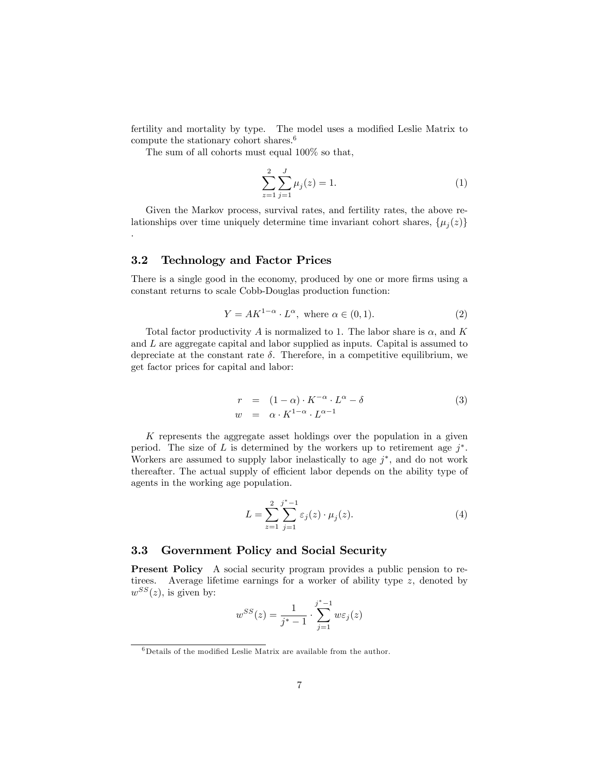fertility and mortality by type. The model uses a modified Leslie Matrix to compute the stationary cohort shares.<sup>6</sup>

The sum of all cohorts must equal 100% so that,

$$
\sum_{z=1}^{2} \sum_{j=1}^{J} \mu_j(z) = 1.
$$
 (1)

Given the Markov process, survival rates, and fertility rates, the above relationships over time uniquely determine time invariant cohort shares,  $\{\mu_j(z)\}$ 

## 3.2 Technology and Factor Prices

.

There is a single good in the economy, produced by one or more firms using a constant returns to scale Cobb-Douglas production function:

$$
Y = AK^{1-\alpha} \cdot L^{\alpha}, \text{ where } \alpha \in (0,1). \tag{2}
$$

Total factor productivity A is normalized to 1. The labor share is  $\alpha$ , and K and L are aggregate capital and labor supplied as inputs. Capital is assumed to depreciate at the constant rate  $\delta$ . Therefore, in a competitive equilibrium, we get factor prices for capital and labor:

$$
r = (1 - \alpha) \cdot K^{-\alpha} \cdot L^{\alpha} - \delta
$$
  
\n
$$
w = \alpha \cdot K^{1 - \alpha} \cdot L^{\alpha - 1}
$$
\n(3)

K represents the aggregate asset holdings over the population in a given period. The size of L is determined by the workers up to retirement age  $j^*$ . Workers are assumed to supply labor inelastically to age  $j^*$ , and do not work thereafter. The actual supply of efficient labor depends on the ability type of agents in the working age population.

$$
L = \sum_{z=1}^{2} \sum_{j=1}^{j^{*}-1} \varepsilon_{j}(z) \cdot \mu_{j}(z).
$$
 (4)

## 3.3 Government Policy and Social Security

Present Policy A social security program provides a public pension to retirees. Average lifetime earnings for a worker of ability type z, denoted by  $w^{SS}(z)$ , is given by:

$$
w^{SS}(z) = \frac{1}{j^*-1} \cdot \sum_{j=1}^{j^*-1} w \varepsilon_j(z)
$$

 $^6$  Details of the modified Leslie Matrix are available from the author.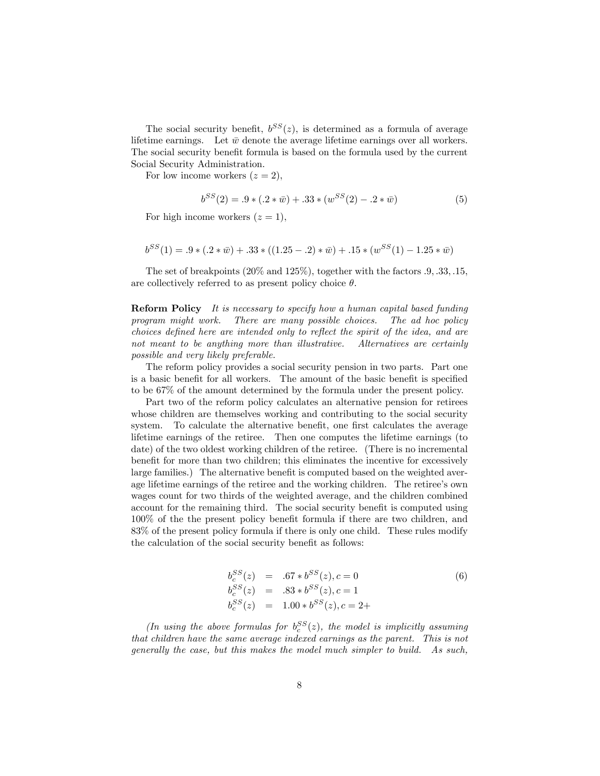The social security benefit,  $b^{SS}(z)$ , is determined as a formula of average lifetime earnings. Let  $\bar{w}$  denote the average lifetime earnings over all workers. The social security benefit formula is based on the formula used by the current Social Security Administration.

For low income workers  $(z = 2)$ ,

$$
b^{SS}(2) = .9 * (.2 * \bar{w}) + .33 * (w^{SS}(2) - .2 * \bar{w})
$$
 (5)

For high income workers  $(z = 1)$ ,

$$
b^{SS}(1) = .9 * (.2 * \bar{w}) + .33 * ((1.25 - .2) * \bar{w}) + .15 * (w^{SS}(1) - 1.25 * \bar{w})
$$

The set of breakpoints  $(20\% \text{ and } 125\%)$ , together with the factors  $.9, .33, .15,$ are collectively referred to as present policy choice  $\theta$ .

Reform Policy It is necessary to specify how a human capital based funding program might work. There are many possible choices. The ad hoc policy  $choices$  defined here are intended only to reflect the spirit of the idea, and are not meant to be anything more than illustrative. Alternatives are certainly possible and very likely preferable.

The reform policy provides a social security pension in two parts. Part one is a basic benefit for all workers. The amount of the basic benefit is specified to be 67% of the amount determined by the formula under the present policy.

Part two of the reform policy calculates an alternative pension for retirees whose children are themselves working and contributing to the social security system. To calculate the alternative benefit, one first calculates the average lifetime earnings of the retiree. Then one computes the lifetime earnings (to date) of the two oldest working children of the retiree. (There is no incremental benefit for more than two children; this eliminates the incentive for excessively large families.) The alternative benefit is computed based on the weighted average lifetime earnings of the retiree and the working children. The retiree's own wages count for two thirds of the weighted average, and the children combined account for the remaining third. The social security benefit is computed using  $100\%$  of the the present policy benefit formula if there are two children, and 83% of the present policy formula if there is only one child. These rules modify the calculation of the social security benefit as follows:

$$
b_c^{SS}(z) = .67 * b^{SS}(z), c = 0
$$
  
\n
$$
b_c^{SS}(z) = .83 * b^{SS}(z), c = 1
$$
  
\n
$$
b_c^{SS}(z) = 1.00 * b^{SS}(z), c = 2 +
$$
\n(6)

(In using the above formulas for  $b_c^{SS}(z)$ , the model is implicitly assuming that children have the same average indexed earnings as the parent. This is not generally the case, but this makes the model much simpler to build. As such,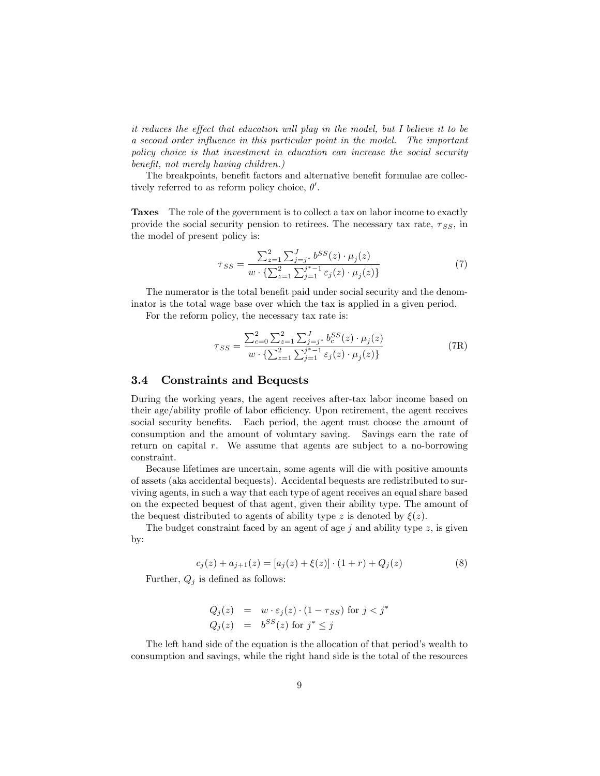it reduces the effect that education will play in the model, but I believe it to be a second order influence in this particular point in the model. The important policy choice is that investment in education can increase the social security benefit, not merely having children.)

The breakpoints, benefit factors and alternative benefit formulae are collectively referred to as reform policy choice,  $\theta'$ .

Taxes The role of the government is to collect a tax on labor income to exactly provide the social security pension to retirees. The necessary tax rate,  $\tau_{SS}$ , in the model of present policy is:

$$
\tau_{SS} = \frac{\sum_{z=1}^{2} \sum_{j=j^{*}}^{J} b^{SS}(z) \cdot \mu_{j}(z)}{w \cdot \left\{ \sum_{z=1}^{2} \sum_{j=1}^{j^{*}-1} \varepsilon_{j}(z) \cdot \mu_{j}(z) \right\}}
$$
(7)

The numerator is the total benefit paid under social security and the denominator is the total wage base over which the tax is applied in a given period.

For the reform policy, the necessary tax rate is:

$$
\tau_{SS} = \frac{\sum_{c=0}^{2} \sum_{z=1}^{2} \sum_{j=j^{*}}^{J} b_{c}^{SS}(z) \cdot \mu_{j}(z)}{w \cdot \left\{\sum_{z=1}^{2} \sum_{j=1}^{j^{*}-1} \varepsilon_{j}(z) \cdot \mu_{j}(z)\right\}}
$$
(7R)

## 3.4 Constraints and Bequests

During the working years, the agent receives after-tax labor income based on their age/ability profile of labor efficiency. Upon retirement, the agent receives social security benefits. Each period, the agent must choose the amount of consumption and the amount of voluntary saving. Savings earn the rate of return on capital r. We assume that agents are subject to a no-borrowing constraint.

Because lifetimes are uncertain, some agents will die with positive amounts of assets (aka accidental bequests). Accidental bequests are redistributed to surviving agents, in such a way that each type of agent receives an equal share based on the expected bequest of that agent, given their ability type. The amount of the bequest distributed to agents of ability type z is denoted by  $\xi(z)$ .

The budget constraint faced by an agent of age  $j$  and ability type  $z$ , is given by:

$$
c_j(z) + a_{j+1}(z) = [a_j(z) + \xi(z)] \cdot (1+r) + Q_j(z)
$$
\n(8)

Further,  $Q_i$  is defined as follows:

$$
Q_j(z) = w \cdot \varepsilon_j(z) \cdot (1 - \tau_{SS}) \text{ for } j < j^*
$$
  

$$
Q_j(z) = b^{SS}(z) \text{ for } j^* \le j
$$

The left hand side of the equation is the allocation of that period's wealth to consumption and savings, while the right hand side is the total of the resources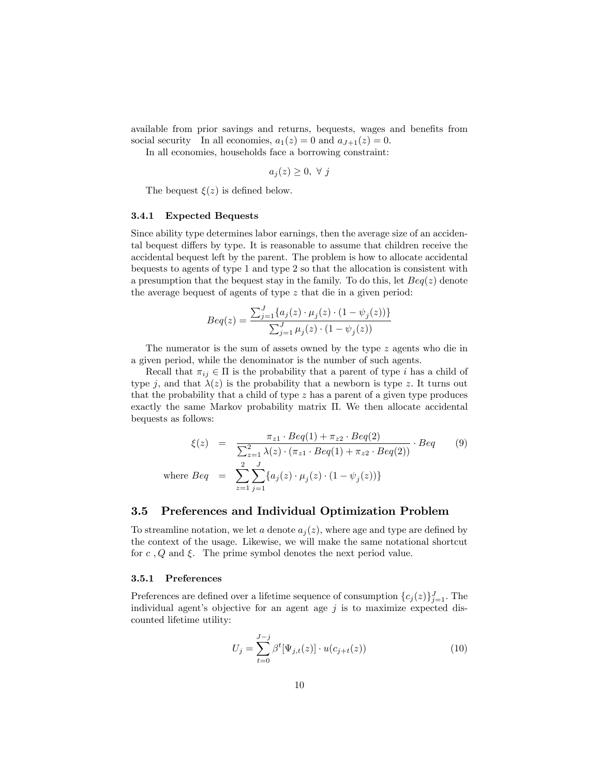available from prior savings and returns, bequests, wages and benefits from social security In all economies,  $a_1(z) = 0$  and  $a_{J+1}(z) = 0$ .

In all economies, households face a borrowing constraint:

 $a_i(z) \geq 0, \forall j$ 

The bequest  $\xi(z)$  is defined below.

#### 3.4.1 Expected Bequests

Since ability type determines labor earnings, then the average size of an accidental bequest differs by type. It is reasonable to assume that children receive the accidental bequest left by the parent. The problem is how to allocate accidental bequests to agents of type 1 and type 2 so that the allocation is consistent with a presumption that the bequest stay in the family. To do this, let  $Beq(z)$  denote the average bequest of agents of type z that die in a given period:

$$
Beq(z) = \frac{\sum_{j=1}^{J} \{a_j(z) \cdot \mu_j(z) \cdot (1 - \psi_j(z))\}}{\sum_{j=1}^{J} \mu_j(z) \cdot (1 - \psi_j(z))}
$$

The numerator is the sum of assets owned by the type z agents who die in a given period, while the denominator is the number of such agents.

Recall that  $\pi_{ij} \in \Pi$  is the probability that a parent of type i has a child of type j, and that  $\lambda(z)$  is the probability that a newborn is type z. It turns out that the probability that a child of type  $z$  has a parent of a given type produces exactly the same Markov probability matrix  $\Pi$ . We then allocate accidental bequests as follows:

$$
\xi(z) = \frac{\pi_{z1} \cdot Beq(1) + \pi_{z2} \cdot Beq(2)}{\sum_{z=1}^{2} \lambda(z) \cdot (\pi_{z1} \cdot Beq(1) + \pi_{z2} \cdot Beq(2))} \cdot Beq
$$
\nwhere  $Beq = \sum_{z=1}^{2} \sum_{j=1}^{J} \{a_j(z) \cdot \mu_j(z) \cdot (1 - \psi_j(z))\}$ 

## 3.5 Preferences and Individual Optimization Problem

To streamline notation, we let a denote  $a_i(z)$ , where age and type are defined by the context of the usage. Likewise, we will make the same notational shortcut for c, Q and  $\xi$ . The prime symbol denotes the next period value.

#### 3.5.1 Preferences

Preferences are defined over a lifetime sequence of consumption  ${c_j(z)}_{j=1}^J$ . The individual agent's objective for an agent age  $j$  is to maximize expected discounted lifetime utility:

$$
U_j = \sum_{t=0}^{J-j} \beta^t [\Psi_{j,t}(z)] \cdot u(c_{j+t}(z))
$$
\n(10)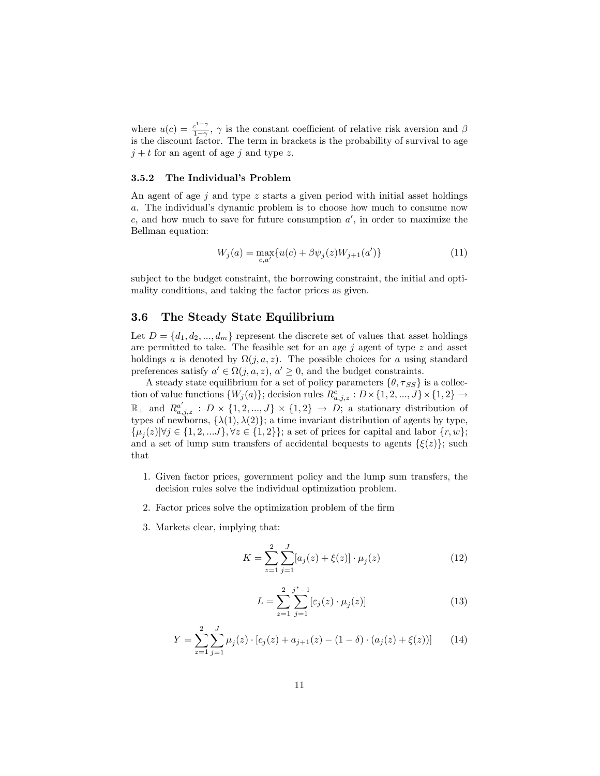where  $u(c) = \frac{c^{1-\gamma}}{1-\gamma}$  $\frac{e^{z-7}}{1-\gamma}$ ,  $\gamma$  is the constant coefficient of relative risk aversion and  $\beta$ is the discount factor. The term in brackets is the probability of survival to age  $j + t$  for an agent of age j and type z.

#### 3.5.2 The Individual's Problem

An agent of age  $j$  and type z starts a given period with initial asset holdings a. The individual's dynamic problem is to choose how much to consume now c, and how much to save for future consumption  $a'$ , in order to maximize the Bellman equation:

$$
W_j(a) = \max_{c,a'} \{ u(c) + \beta \psi_j(z) W_{j+1}(a') \}
$$
\n(11)

subject to the budget constraint, the borrowing constraint, the initial and optimality conditions, and taking the factor prices as given.

## 3.6 The Steady State Equilibrium

Let  $D = \{d_1, d_2, ..., d_m\}$  represent the discrete set of values that asset holdings are permitted to take. The feasible set for an age  $j$  agent of type  $z$  and asset holdings a is denoted by  $\Omega(j, a, z)$ . The possible choices for a using standard preferences satisfy  $a' \in \Omega(j, a, z)$ ,  $a' \geq 0$ , and the budget constraints.

A steady state equilibrium for a set of policy parameters  $\{\theta, \tau_{SS}\}\)$  is a collection of value functions  $\{W_j(a)\}$ ; decision rules  $R^c_{a,j,z}: D \times \{1,2,...,J\} \times \{1,2\} \rightarrow$  $\mathbb{R}_+$  and  $R^{a'}_{a,j,z}$ :  $D \times \{1,2,...,J\} \times \{1,2\} \rightarrow D$ ; a stationary distribution of types of newborns,  $\{\lambda(1), \lambda(2)\}$ ; a time invariant distribution of agents by type,  $\{\mu_j(z)| \forall j \in \{1, 2, \ldots J\}, \forall z \in \{1, 2\}\};$  a set of prices for capital and labor  $\{r, w\};$ and a set of lump sum transfers of accidental bequests to agents  $\{\xi(z)\}\;$ ; such that

- 1. Given factor prices, government policy and the lump sum transfers, the decision rules solve the individual optimization problem.
- 2. Factor prices solve the optimization problem of the firm
- 3. Markets clear, implying that:

$$
K = \sum_{z=1}^{2} \sum_{j=1}^{J} [a_j(z) + \xi(z)] \cdot \mu_j(z)
$$
 (12)

$$
L = \sum_{z=1}^{2} \sum_{j=1}^{j^*-1} [\varepsilon_j(z) \cdot \mu_j(z)] \tag{13}
$$

$$
Y = \sum_{z=1}^{2} \sum_{j=1}^{J} \mu_j(z) \cdot [c_j(z) + a_{j+1}(z) - (1 - \delta) \cdot (a_j(z) + \xi(z))]
$$
(14)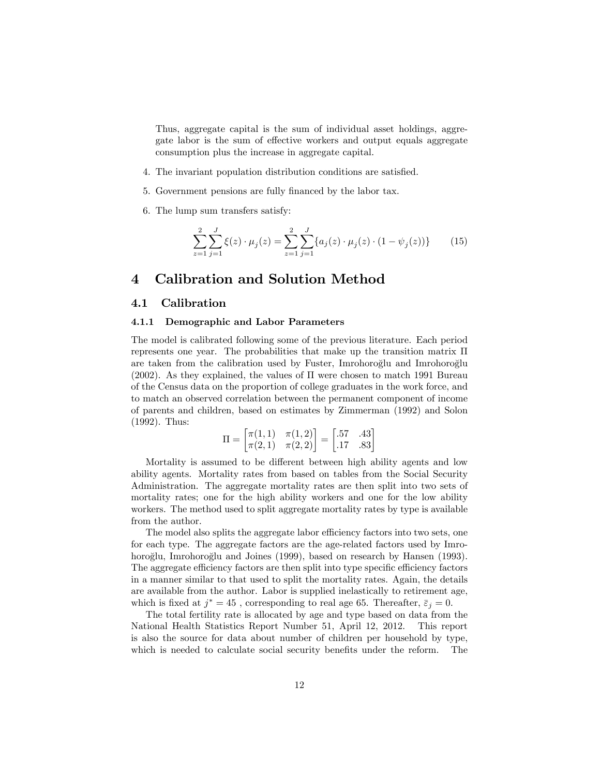Thus, aggregate capital is the sum of individual asset holdings, aggregate labor is the sum of effective workers and output equals aggregate consumption plus the increase in aggregate capital.

- 4. The invariant population distribution conditions are satisfied.
- 5. Government pensions are fully financed by the labor tax.
- 6. The lump sum transfers satisfy:

$$
\sum_{z=1}^{2} \sum_{j=1}^{J} \xi(z) \cdot \mu_j(z) = \sum_{z=1}^{2} \sum_{j=1}^{J} \{ a_j(z) \cdot \mu_j(z) \cdot (1 - \psi_j(z)) \}
$$
(15)

## 4 Calibration and Solution Method

## 4.1 Calibration

#### 4.1.1 Demographic and Labor Parameters

The model is calibrated following some of the previous literature. Each period represents one year. The probabilities that make up the transition matrix  $\Pi$ are taken from the calibration used by Fuster, Imrohoroglu and Imrohoroglu  $(2002)$ . As they explained, the values of  $\Pi$  were chosen to match 1991 Bureau of the Census data on the proportion of college graduates in the work force, and to match an observed correlation between the permanent component of income of parents and children, based on estimates by Zimmerman (1992) and Solon (1992). Thus:

$$
\Pi = \begin{bmatrix} \pi(1,1) & \pi(1,2) \\ \pi(2,1) & \pi(2,2) \end{bmatrix} = \begin{bmatrix} .57 & .43 \\ .17 & .83 \end{bmatrix}
$$

Mortality is assumed to be different between high ability agents and low ability agents. Mortality rates from based on tables from the Social Security Administration. The aggregate mortality rates are then split into two sets of mortality rates; one for the high ability workers and one for the low ability workers. The method used to split aggregate mortality rates by type is available from the author.

The model also splits the aggregate labor efficiency factors into two sets, one for each type. The aggregate factors are the age-related factors used by Imrohoroğlu, Imrohoroğlu and Joines (1999), based on research by Hansen (1993). The aggregate efficiency factors are then split into type specific efficiency factors in a manner similar to that used to split the mortality rates. Again, the details are available from the author. Labor is supplied inelastically to retirement age, which is fixed at  $j^* = 45$ , corresponding to real age 65. Thereafter,  $\bar{\varepsilon}_j = 0$ .

The total fertility rate is allocated by age and type based on data from the National Health Statistics Report Number 51, April 12, 2012. This report is also the source for data about number of children per household by type, which is needed to calculate social security benefits under the reform. The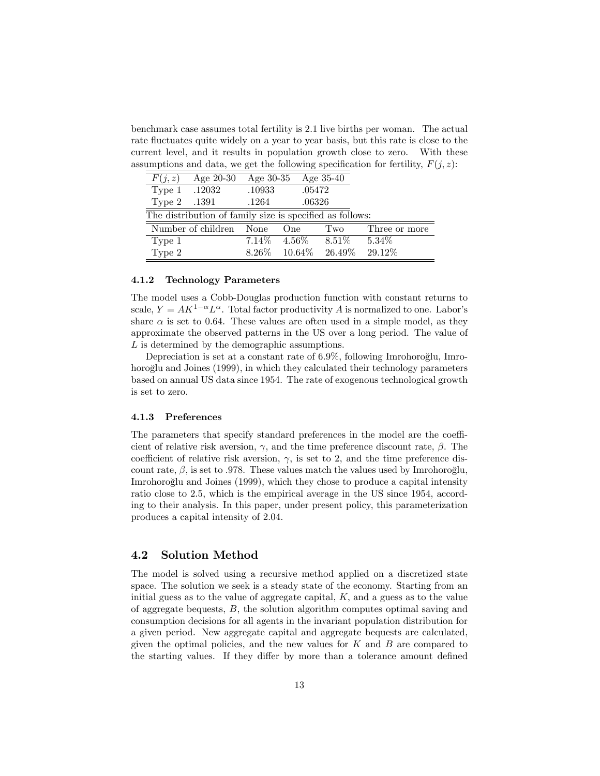benchmark case assumes total fertility is 2:1 live births per woman. The actual rate fluctuates quite widely on a year to year basis, but this rate is close to the current level, and it results in population growth close to zero. With these assumptions and data, we get the following specification for fertility,  $F(j, z)$ :

| F(j, z)                                                  | Age 20-30               |        | Age $30-35$ Age $35-40$ |                              |               |  |  |  |
|----------------------------------------------------------|-------------------------|--------|-------------------------|------------------------------|---------------|--|--|--|
| Type 1 .12032                                            |                         | .10933 | .05472                  |                              |               |  |  |  |
| Type 2 .1391                                             |                         | .1264  | .06326                  |                              |               |  |  |  |
| The distribution of family size is specified as follows: |                         |        |                         |                              |               |  |  |  |
|                                                          | Number of children None |        | O <sub>ne</sub>         | Two                          | Three or more |  |  |  |
| Type 1                                                   |                         |        | $7.14\%$ 4.56\%         | $8.51\%$                     | $5.34\%$      |  |  |  |
| Type 2                                                   |                         |        |                         | $8.26\%$ $10.64\%$ $26.49\%$ | 29.12%        |  |  |  |

#### 4.1.2 Technology Parameters

The model uses a Cobb-Douglas production function with constant returns to scale,  $Y = AK^{1-\alpha}L^{\alpha}$ . Total factor productivity A is normalized to one. Labor's share  $\alpha$  is set to 0.64. These values are often used in a simple model, as they approximate the observed patterns in the US over a long period. The value of L is determined by the demographic assumptions.

Depreciation is set at a constant rate of 6.9%, following Imrohoroglu, Imrohoroglu and Joines (1999), in which they calculated their technology parameters based on annual US data since 1954. The rate of exogenous technological growth is set to zero.

#### 4.1.3 Preferences

The parameters that specify standard preferences in the model are the coefficient of relative risk aversion,  $\gamma$ , and the time preference discount rate,  $\beta$ . The coefficient of relative risk aversion,  $\gamma$ , is set to 2, and the time preference discount rate,  $\beta$ , is set to 0.978. These values match the values used by Imrohoroglu, Imrohoroglu and Joines (1999), which they chose to produce a capital intensity ratio close to 2:5, which is the empirical average in the US since 1954, according to their analysis. In this paper, under present policy, this parameterization produces a capital intensity of 2:04.

## 4.2 Solution Method

The model is solved using a recursive method applied on a discretized state space. The solution we seek is a steady state of the economy. Starting from an initial guess as to the value of aggregate capital, K; and a guess as to the value of aggregate bequests, B, the solution algorithm computes optimal saving and consumption decisions for all agents in the invariant population distribution for a given period. New aggregate capital and aggregate bequests are calculated, given the optimal policies, and the new values for  $K$  and  $B$  are compared to the starting values. If they differ by more than a tolerance amount defined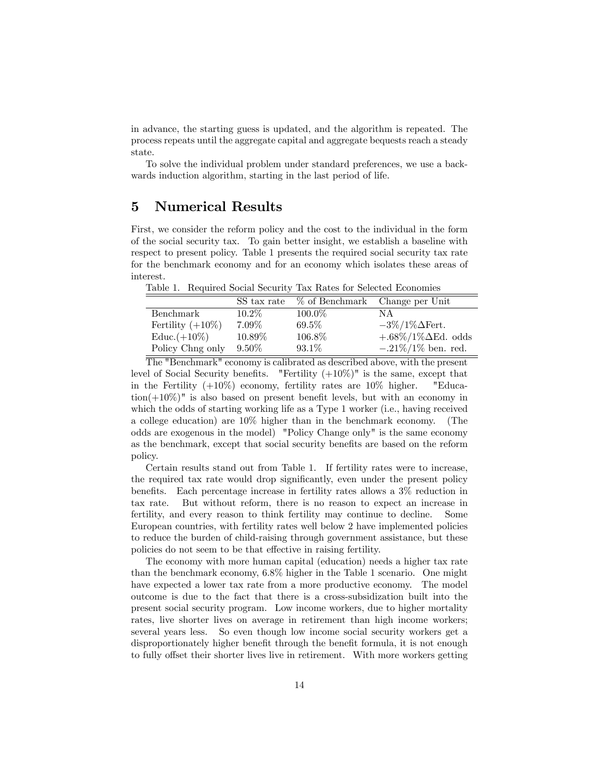in advance, the starting guess is updated, and the algorithm is repeated. The process repeats until the aggregate capital and aggregate bequests reach a steady state.

To solve the individual problem under standard preferences, we use a backwards induction algorithm, starting in the last period of life.

# 5 Numerical Results

First, we consider the reform policy and the cost to the individual in the form of the social security tax. To gain better insight, we establish a baseline with respect to present policy. Table 1 presents the required social security tax rate for the benchmark economy and for an economy which isolates these areas of interest.

Table 1. Required Social Security Tax Rates for Selected Economies

|                     | SS tax rate | % of Benchmark Change per Unit |                                    |
|---------------------|-------------|--------------------------------|------------------------------------|
| Benchmark           | $10.2\%$    | 100.0%                         | ΝA                                 |
| Fertility $(+10\%)$ | $7.09\%$    | 69.5%                          | $-3\%/1\%\Delta$ Fert.             |
| $Educ. (+10\%)$     | 10.89%      | 106.8%                         | $+.68\%/1\%\Delta \text{Ed. odds}$ |
| Policy Chng only    | $9.50\%$    | $93.1\%$                       | $-.21\%/1\%$ ben. red.             |

The "Benchmark" economy is calibrated as described above, with the present level of Social Security benefits. "Fertility  $(+10\%)$ " is the same, except that in the Fertility  $(+10\%)$  economy, fertility rates are  $10\%$  higher. "Educa- $\text{tion}(+10\%)$ " is also based on present benefit levels, but with an economy in which the odds of starting working life as a Type 1 worker (i.e., having received a college education) are 10% higher than in the benchmark economy. (The odds are exogenous in the model) "Policy Change only" is the same economy as the benchmark, except that social security benefits are based on the reform policy.

Certain results stand out from Table 1. If fertility rates were to increase, the required tax rate would drop significantly, even under the present policy benefits. Each percentage increase in fertility rates allows a  $3\%$  reduction in tax rate. But without reform, there is no reason to expect an increase in fertility, and every reason to think fertility may continue to decline. Some European countries, with fertility rates well below 2 have implemented policies to reduce the burden of child-raising through government assistance, but these policies do not seem to be that effective in raising fertility.

The economy with more human capital (education) needs a higher tax rate than the benchmark economy, 6:8% higher in the Table 1 scenario. One might have expected a lower tax rate from a more productive economy. The model outcome is due to the fact that there is a cross-subsidization built into the present social security program. Low income workers, due to higher mortality rates, live shorter lives on average in retirement than high income workers; several years less. So even though low income social security workers get a disproportionately higher benefit through the benefit formula, it is not enough to fully offset their shorter lives live in retirement. With more workers getting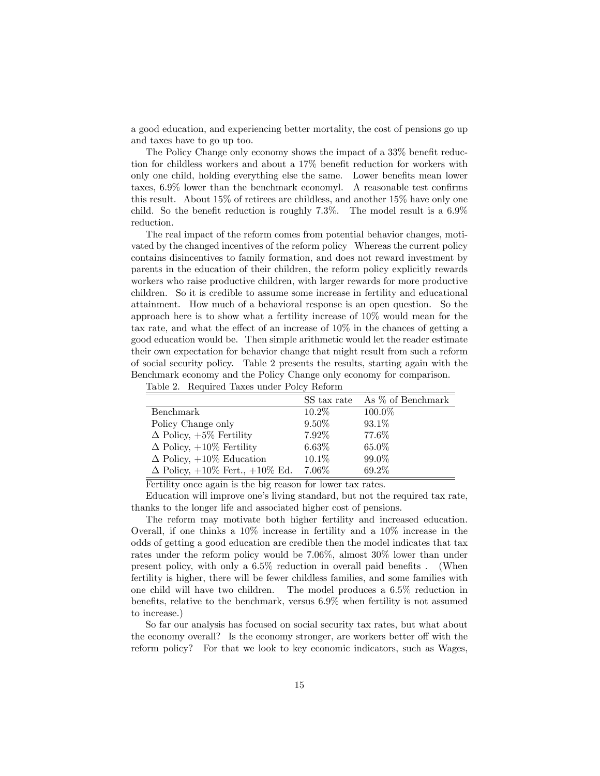a good education, and experiencing better mortality, the cost of pensions go up and taxes have to go up too.

The Policy Change only economy shows the impact of a  $33\%$  benefit reduction for childless workers and about a  $17\%$  benefit reduction for workers with only one child, holding everything else the same. Lower benefits mean lower taxes,  $6.9\%$  lower than the benchmark economyl. A reasonable test confirms this result. About 15% of retirees are childless, and another 15% have only one child. So the benefit reduction is roughly  $7.3\%$ . The model result is a  $6.9\%$ reduction.

The real impact of the reform comes from potential behavior changes, motivated by the changed incentives of the reform policy Whereas the current policy contains disincentives to family formation, and does not reward investment by parents in the education of their children, the reform policy explicitly rewards workers who raise productive children, with larger rewards for more productive children. So it is credible to assume some increase in fertility and educational attainment. How much of a behavioral response is an open question. So the approach here is to show what a fertility increase of 10% would mean for the tax rate, and what the effect of an increase of  $10\%$  in the chances of getting a good education would be. Then simple arithmetic would let the reader estimate their own expectation for behavior change that might result from such a reform of social security policy. Table 2 presents the results, starting again with the Benchmark economy and the Policy Change only economy for comparison.

|                                             | SS tax rate | As % of Benchmark |
|---------------------------------------------|-------------|-------------------|
| <b>Benchmark</b>                            | $10.2\%$    | $100.0\%$         |
| Policy Change only                          | $9.50\%$    | 93.1\%            |
| $\Delta$ Policy, $+5\%$ Fertility           | 7.92%       | 77.6%             |
| $\Delta$ Policy, $+10\%$ Fertility          | $6.63\%$    | 65.0%             |
| $\Delta$ Policy, $+10\%$ Education          | 10.1\%      | 99.0%             |
| $\Delta$ Policy, $+10\%$ Fert., $+10\%$ Ed. | 7.06\%      | 69.2%             |

Fertility once again is the big reason for lower tax rates.

Education will improve one's living standard, but not the required tax rate, thanks to the longer life and associated higher cost of pensions.

The reform may motivate both higher fertility and increased education. Overall, if one thinks a 10% increase in fertility and a 10% increase in the odds of getting a good education are credible then the model indicates that tax rates under the reform policy would be 7:06%, almost 30% lower than under present policy, with only a  $6.5\%$  reduction in overall paid benefits . (When fertility is higher, there will be fewer childless families, and some families with one child will have two children. The model produces a 6:5% reduction in benefits, relative to the benchmark, versus  $6.9\%$  when fertility is not assumed to increase.)

So far our analysis has focused on social security tax rates, but what about the economy overall? Is the economy stronger, are workers better off with the reform policy? For that we look to key economic indicators, such as Wages,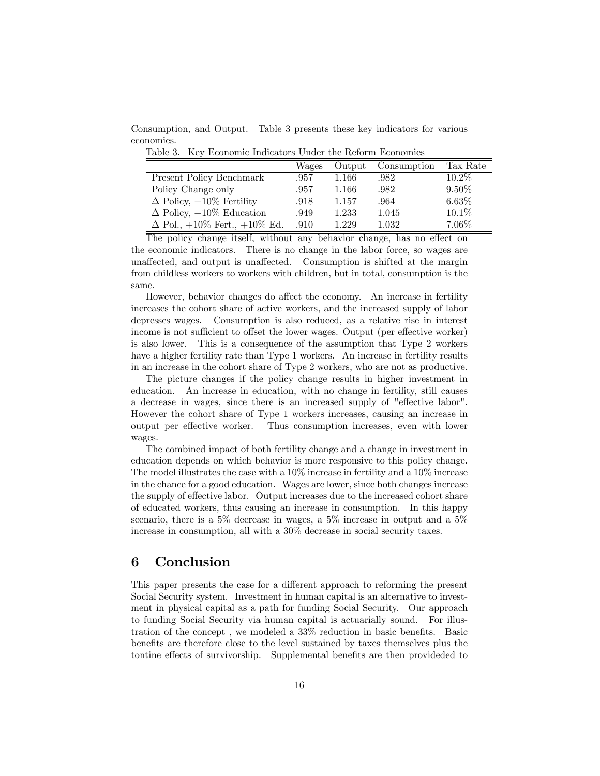Consumption, and Output. Table 3 presents these key indicators for various economies.

Table 3. Key Economic Indicators Under the Reform Economies

|                                           | Wages | Output | Consumption | Tax Rate |
|-------------------------------------------|-------|--------|-------------|----------|
| <b>Present Policy Benchmark</b>           | .957  | 1.166  | .982        | $10.2\%$ |
| Policy Change only                        | .957  | 1.166  | .982        | $9.50\%$ |
| $\Delta$ Policy, $+10\%$ Fertility        | .918  | 1.157  | .964        | $6.63\%$ |
| $\Delta$ Policy, $+10\%$ Education        | .949  | 1.233  | 1.045       | $10.1\%$ |
| $\Delta$ Pol., $+10\%$ Fert., $+10\%$ Ed. | .910  | 1.229  | 1.032       | 7.06%    |

The policy change itself, without any behavior change, has no effect on the economic indicators. There is no change in the labor force, so wages are unaffected, and output is unaffected. Consumption is shifted at the margin from childless workers to workers with children, but in total, consumption is the same.

However, behavior changes do affect the economy. An increase in fertility increases the cohort share of active workers, and the increased supply of labor depresses wages. Consumption is also reduced, as a relative rise in interest income is not sufficient to offset the lower wages. Output (per effective worker) is also lower. This is a consequence of the assumption that Type 2 workers have a higher fertility rate than Type 1 workers. An increase in fertility results in an increase in the cohort share of Type 2 workers, who are not as productive.

The picture changes if the policy change results in higher investment in education. An increase in education, with no change in fertility, still causes a decrease in wages, since there is an increased supply of "effective labor". However the cohort share of Type 1 workers increases, causing an increase in output per effective worker. Thus consumption increases, even with lower wages.

The combined impact of both fertility change and a change in investment in education depends on which behavior is more responsive to this policy change. The model illustrates the case with a 10% increase in fertility and a 10% increase in the chance for a good education. Wages are lower, since both changes increase the supply of effective labor. Output increases due to the increased cohort share of educated workers, thus causing an increase in consumption. In this happy scenario, there is a 5% decrease in wages, a 5% increase in output and a 5% increase in consumption, all with a 30% decrease in social security taxes.

# 6 Conclusion

This paper presents the case for a different approach to reforming the present Social Security system. Investment in human capital is an alternative to investment in physical capital as a path for funding Social Security. Our approach to funding Social Security via human capital is actuarially sound. For illustration of the concept, we modeled a  $33\%$  reduction in basic benefits. Basic benefits are therefore close to the level sustained by taxes themselves plus the tontine effects of survivorship. Supplemental benefits are then provideded to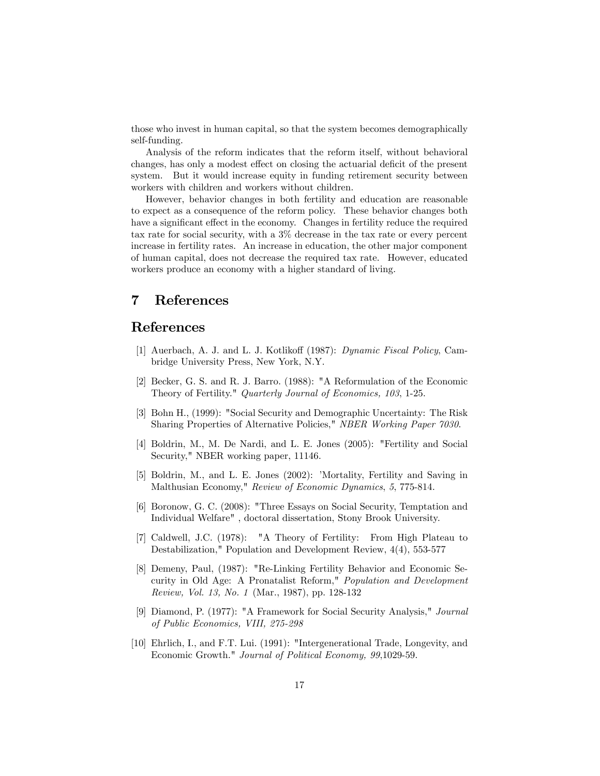those who invest in human capital, so that the system becomes demographically self-funding.

Analysis of the reform indicates that the reform itself, without behavioral changes, has only a modest effect on closing the actuarial deficit of the present system. But it would increase equity in funding retirement security between workers with children and workers without children.

However, behavior changes in both fertility and education are reasonable to expect as a consequence of the reform policy. These behavior changes both have a significant effect in the economy. Changes in fertility reduce the required tax rate for social security, with a 3% decrease in the tax rate or every percent increase in fertility rates. An increase in education, the other major component of human capital, does not decrease the required tax rate. However, educated workers produce an economy with a higher standard of living.

# 7 References

# References

- [1] Auerbach, A. J. and L. J. Kotlikoff (1987): *Dynamic Fiscal Policy*, Cambridge University Press, New York, N.Y.
- [2] Becker, G. S. and R. J. Barro. (1988): "A Reformulation of the Economic Theory of Fertility." Quarterly Journal of Economics, 103, 1-25.
- [3] Bohn H., (1999): "Social Security and Demographic Uncertainty: The Risk Sharing Properties of Alternative Policies," NBER Working Paper 7030.
- [4] Boldrin, M., M. De Nardi, and L. E. Jones (2005): "Fertility and Social Security," NBER working paper, 11146.
- [5] Boldrin, M., and L. E. Jones (2002): 'Mortality, Fertility and Saving in Malthusian Economy," Review of Economic Dynamics, 5, 775-814.
- [6] Boronow, G. C. (2008): "Three Essays on Social Security, Temptation and Individual Welfare" , doctoral dissertation, Stony Brook University.
- [7] Caldwell, J.C. (1978): "A Theory of Fertility: From High Plateau to Destabilization," Population and Development Review, 4(4), 553-577
- [8] Demeny, Paul, (1987): "Re-Linking Fertility Behavior and Economic Security in Old Age: A Pronatalist Reform," Population and Development Review, Vol. 13, No. 1 (Mar., 1987), pp. 128-132
- [9] Diamond, P. (1977): "A Framework for Social Security Analysis," Journal of Public Economics, VIII, 275-298
- [10] Ehrlich, I., and F.T. Lui. (1991): "Intergenerational Trade, Longevity, and Economic Growth." Journal of Political Economy, 99,1029-59.